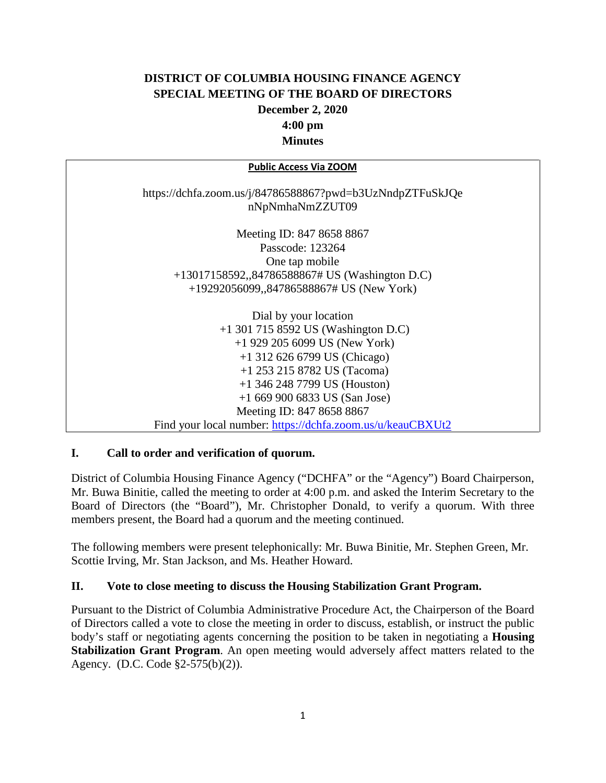# **DISTRICT OF COLUMBIA HOUSING FINANCE AGENCY SPECIAL MEETING OF THE BOARD OF DIRECTORS December 2, 2020 4:00 pm Minutes**

| <b>Public Access Via ZOOM</b>                                                |
|------------------------------------------------------------------------------|
| https://dchfa.zoom.us/j/84786588867?pwd=b3UzNndpZTFuSkJQe<br>nNpNmhaNmZZUT09 |
| Meeting ID: 847 8658 8867                                                    |
| Passcode: 123264                                                             |
| One tap mobile                                                               |
| +13017158592,,84786588867# US (Washington D.C)                               |
| $+19292056099$ , 84786588867# US (New York)                                  |
| Dial by your location                                                        |
| $+1$ 301 715 8592 US (Washington D.C)                                        |
| $+1$ 929 205 6099 US (New York)                                              |
| $+1$ 312 626 6799 US (Chicago)                                               |
| $+1$ 253 215 8782 US (Tacoma)                                                |
| $+1$ 346 248 7799 US (Houston)                                               |
| $+16699006833$ US (San Jose)                                                 |
| Meeting ID: 847 8658 8867                                                    |
| Find your local number: https://dchfa.zoom.us/u/keauCBXUt2                   |

#### **I. Call to order and verification of quorum.**

District of Columbia Housing Finance Agency ("DCHFA" or the "Agency") Board Chairperson, Mr. Buwa Binitie, called the meeting to order at 4:00 p.m. and asked the Interim Secretary to the Board of Directors (the "Board"), Mr. Christopher Donald, to verify a quorum. With three members present, the Board had a quorum and the meeting continued.

The following members were present telephonically: Mr. Buwa Binitie, Mr. Stephen Green, Mr. Scottie Irving, Mr. Stan Jackson, and Ms. Heather Howard.

#### **II. Vote to close meeting to discuss the Housing Stabilization Grant Program.**

Pursuant to the District of Columbia Administrative Procedure Act, the Chairperson of the Board of Directors called a vote to close the meeting in order to discuss, establish, or instruct the public body's staff or negotiating agents concerning the position to be taken in negotiating a **Housing Stabilization Grant Program**. An open meeting would adversely affect matters related to the Agency. (D.C. Code §2-575(b)(2)).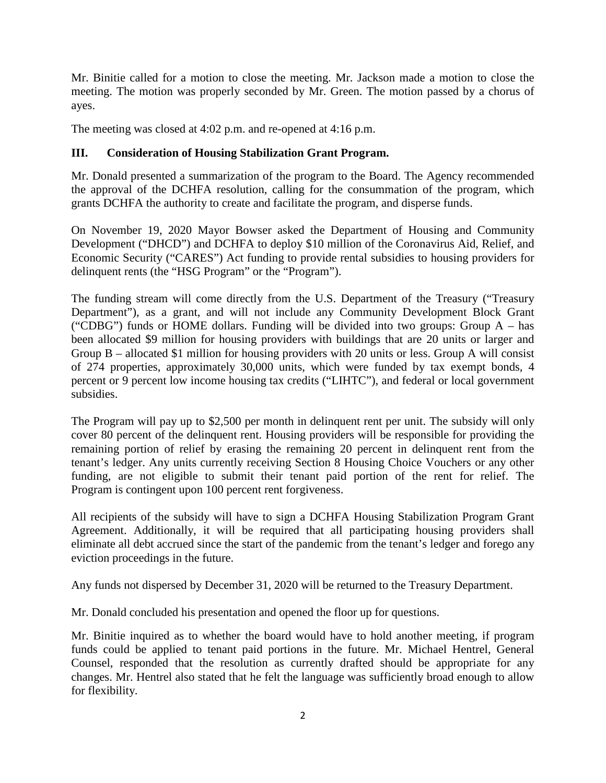Mr. Binitie called for a motion to close the meeting. Mr. Jackson made a motion to close the meeting. The motion was properly seconded by Mr. Green. The motion passed by a chorus of ayes.

The meeting was closed at 4:02 p.m. and re-opened at 4:16 p.m.

#### **III. Consideration of Housing Stabilization Grant Program.**

Mr. Donald presented a summarization of the program to the Board. The Agency recommended the approval of the DCHFA resolution, calling for the consummation of the program, which grants DCHFA the authority to create and facilitate the program, and disperse funds.

On November 19, 2020 Mayor Bowser asked the Department of Housing and Community Development ("DHCD") and DCHFA to deploy \$10 million of the Coronavirus Aid, Relief, and Economic Security ("CARES") Act funding to provide rental subsidies to housing providers for delinquent rents (the "HSG Program" or the "Program").

The funding stream will come directly from the U.S. Department of the Treasury ("Treasury Department"), as a grant, and will not include any Community Development Block Grant ("CDBG") funds or HOME dollars. Funding will be divided into two groups: Group  $A - has$ been allocated \$9 million for housing providers with buildings that are 20 units or larger and Group B – allocated \$1 million for housing providers with 20 units or less. Group A will consist of 274 properties, approximately 30,000 units, which were funded by tax exempt bonds, 4 percent or 9 percent low income housing tax credits ("LIHTC"), and federal or local government subsidies.

The Program will pay up to \$2,500 per month in delinquent rent per unit. The subsidy will only cover 80 percent of the delinquent rent. Housing providers will be responsible for providing the remaining portion of relief by erasing the remaining 20 percent in delinquent rent from the tenant's ledger. Any units currently receiving Section 8 Housing Choice Vouchers or any other funding, are not eligible to submit their tenant paid portion of the rent for relief. The Program is contingent upon 100 percent rent forgiveness.

All recipients of the subsidy will have to sign a DCHFA Housing Stabilization Program Grant Agreement. Additionally, it will be required that all participating housing providers shall eliminate all debt accrued since the start of the pandemic from the tenant's ledger and forego any eviction proceedings in the future.

Any funds not dispersed by December 31, 2020 will be returned to the Treasury Department.

Mr. Donald concluded his presentation and opened the floor up for questions.

Mr. Binitie inquired as to whether the board would have to hold another meeting, if program funds could be applied to tenant paid portions in the future. Mr. Michael Hentrel, General Counsel, responded that the resolution as currently drafted should be appropriate for any changes. Mr. Hentrel also stated that he felt the language was sufficiently broad enough to allow for flexibility.